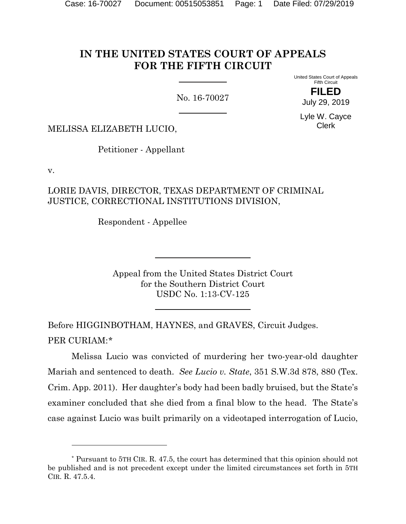# **IN THE UNITED STATES COURT OF APPEALS FOR THE FIFTH CIRCUIT**

No. 16-70027

United States Court of Appeals Fifth Circuit

> **FILED** July 29, 2019

Lyle W. Cayce Clerk

MELISSA ELIZABETH LUCIO,

Petitioner - Appellant

v.

l

### LORIE DAVIS, DIRECTOR, TEXAS DEPARTMENT OF CRIMINAL JUSTICE, CORRECTIONAL INSTITUTIONS DIVISION,

Respondent - Appellee

Appeal from the United States District Court for the Southern District Court USDC No. 1:13-CV-125

Before HIGGINBOTHAM, HAYNES, and GRAVES, Circuit Judges. PER CURIAM:[\\*](#page-0-0)

Melissa Lucio was convicted of murdering her two-year-old daughter Mariah and sentenced to death. *See Lucio v. State*, 351 S.W.3d 878, 880 (Tex. Crim. App. 2011). Her daughter's body had been badly bruised, but the State's examiner concluded that she died from a final blow to the head. The State's case against Lucio was built primarily on a videotaped interrogation of Lucio,

<span id="page-0-0"></span><sup>\*</sup> Pursuant to 5TH CIR. R. 47.5, the court has determined that this opinion should not be published and is not precedent except under the limited circumstances set forth in 5TH CIR. R. 47.5.4.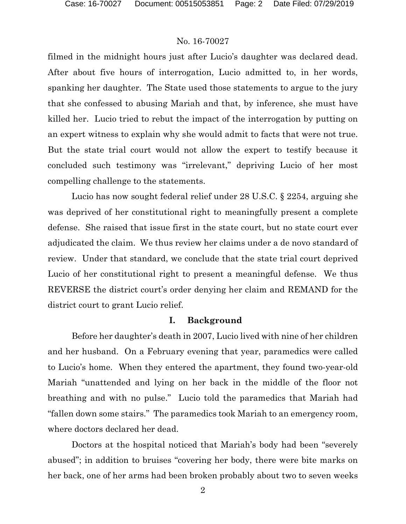filmed in the midnight hours just after Lucio's daughter was declared dead. After about five hours of interrogation, Lucio admitted to, in her words, spanking her daughter. The State used those statements to argue to the jury that she confessed to abusing Mariah and that, by inference, she must have killed her. Lucio tried to rebut the impact of the interrogation by putting on an expert witness to explain why she would admit to facts that were not true. But the state trial court would not allow the expert to testify because it concluded such testimony was "irrelevant," depriving Lucio of her most compelling challenge to the statements.

Lucio has now sought federal relief under 28 U.S.C. § 2254, arguing she was deprived of her constitutional right to meaningfully present a complete defense. She raised that issue first in the state court, but no state court ever adjudicated the claim. We thus review her claims under a de novo standard of review. Under that standard, we conclude that the state trial court deprived Lucio of her constitutional right to present a meaningful defense. We thus REVERSE the district court's order denying her claim and REMAND for the district court to grant Lucio relief.

#### **I. Background**

Before her daughter's death in 2007, Lucio lived with nine of her children and her husband. On a February evening that year, paramedics were called to Lucio's home. When they entered the apartment, they found two-year-old Mariah "unattended and lying on her back in the middle of the floor not breathing and with no pulse." Lucio told the paramedics that Mariah had "fallen down some stairs." The paramedics took Mariah to an emergency room, where doctors declared her dead.

Doctors at the hospital noticed that Mariah's body had been "severely abused"; in addition to bruises "covering her body, there were bite marks on her back, one of her arms had been broken probably about two to seven weeks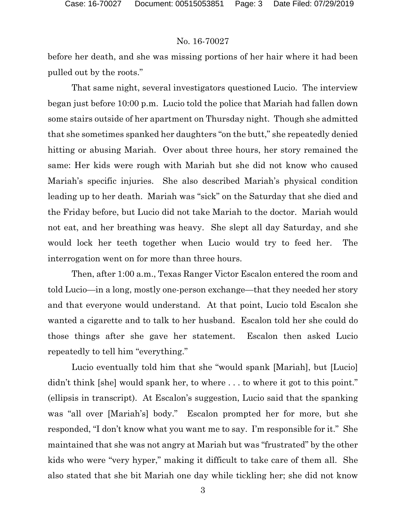before her death, and she was missing portions of her hair where it had been pulled out by the roots."

That same night, several investigators questioned Lucio. The interview began just before 10:00 p.m. Lucio told the police that Mariah had fallen down some stairs outside of her apartment on Thursday night. Though she admitted that she sometimes spanked her daughters "on the butt," she repeatedly denied hitting or abusing Mariah. Over about three hours, her story remained the same: Her kids were rough with Mariah but she did not know who caused Mariah's specific injuries. She also described Mariah's physical condition leading up to her death. Mariah was "sick" on the Saturday that she died and the Friday before, but Lucio did not take Mariah to the doctor. Mariah would not eat, and her breathing was heavy. She slept all day Saturday, and she would lock her teeth together when Lucio would try to feed her. The interrogation went on for more than three hours.

Then, after 1:00 a.m., Texas Ranger Victor Escalon entered the room and told Lucio—in a long, mostly one-person exchange—that they needed her story and that everyone would understand. At that point, Lucio told Escalon she wanted a cigarette and to talk to her husband. Escalon told her she could do those things after she gave her statement. Escalon then asked Lucio repeatedly to tell him "everything."

Lucio eventually told him that she "would spank [Mariah], but [Lucio] didn't think [she] would spank her, to where ... to where it got to this point." (ellipsis in transcript). At Escalon's suggestion, Lucio said that the spanking was "all over [Mariah's] body." Escalon prompted her for more, but she responded, "I don't know what you want me to say. I'm responsible for it." She maintained that she was not angry at Mariah but was "frustrated" by the other kids who were "very hyper," making it difficult to take care of them all. She also stated that she bit Mariah one day while tickling her; she did not know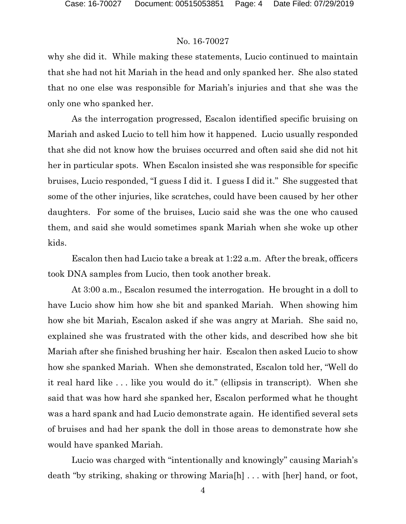why she did it. While making these statements, Lucio continued to maintain that she had not hit Mariah in the head and only spanked her. She also stated that no one else was responsible for Mariah's injuries and that she was the only one who spanked her.

As the interrogation progressed, Escalon identified specific bruising on Mariah and asked Lucio to tell him how it happened. Lucio usually responded that she did not know how the bruises occurred and often said she did not hit her in particular spots. When Escalon insisted she was responsible for specific bruises, Lucio responded, "I guess I did it. I guess I did it." She suggested that some of the other injuries, like scratches, could have been caused by her other daughters. For some of the bruises, Lucio said she was the one who caused them, and said she would sometimes spank Mariah when she woke up other kids.

Escalon then had Lucio take a break at 1:22 a.m. After the break, officers took DNA samples from Lucio, then took another break.

At 3:00 a.m., Escalon resumed the interrogation. He brought in a doll to have Lucio show him how she bit and spanked Mariah. When showing him how she bit Mariah, Escalon asked if she was angry at Mariah. She said no, explained she was frustrated with the other kids, and described how she bit Mariah after she finished brushing her hair. Escalon then asked Lucio to show how she spanked Mariah. When she demonstrated, Escalon told her, "Well do it real hard like . . . like you would do it." (ellipsis in transcript). When she said that was how hard she spanked her, Escalon performed what he thought was a hard spank and had Lucio demonstrate again. He identified several sets of bruises and had her spank the doll in those areas to demonstrate how she would have spanked Mariah.

Lucio was charged with "intentionally and knowingly" causing Mariah's death "by striking, shaking or throwing Maria[h] . . . with [her] hand, or foot,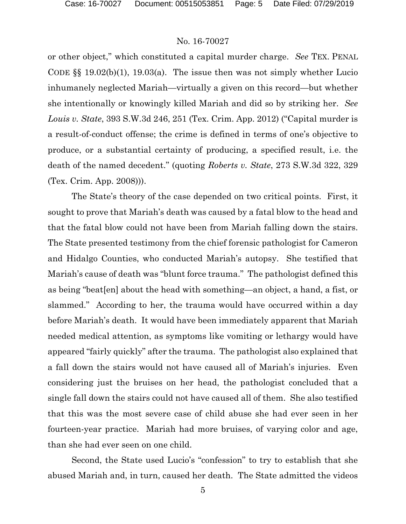or other object," which constituted a capital murder charge. *See* TEX. PENAL CODE  $\S$  19.02(b)(1), 19.03(a). The issue then was not simply whether Lucio inhumanely neglected Mariah—virtually a given on this record—but whether she intentionally or knowingly killed Mariah and did so by striking her. *See Louis v. State*, 393 S.W.3d 246, 251 (Tex. Crim. App. 2012) ("Capital murder is a result-of-conduct offense; the crime is defined in terms of one's objective to produce, or a substantial certainty of producing, a specified result, i.e. the death of the named decedent." (quoting *Roberts v. State*, 273 S.W.3d 322, 329 (Tex. Crim. App. 2008))).

The State's theory of the case depended on two critical points. First, it sought to prove that Mariah's death was caused by a fatal blow to the head and that the fatal blow could not have been from Mariah falling down the stairs. The State presented testimony from the chief forensic pathologist for Cameron and Hidalgo Counties, who conducted Mariah's autopsy. She testified that Mariah's cause of death was "blunt force trauma." The pathologist defined this as being "beat[en] about the head with something—an object, a hand, a fist, or slammed." According to her, the trauma would have occurred within a day before Mariah's death. It would have been immediately apparent that Mariah needed medical attention, as symptoms like vomiting or lethargy would have appeared "fairly quickly" after the trauma. The pathologist also explained that a fall down the stairs would not have caused all of Mariah's injuries. Even considering just the bruises on her head, the pathologist concluded that a single fall down the stairs could not have caused all of them. She also testified that this was the most severe case of child abuse she had ever seen in her fourteen-year practice. Mariah had more bruises, of varying color and age, than she had ever seen on one child.

Second, the State used Lucio's "confession" to try to establish that she abused Mariah and, in turn, caused her death. The State admitted the videos

5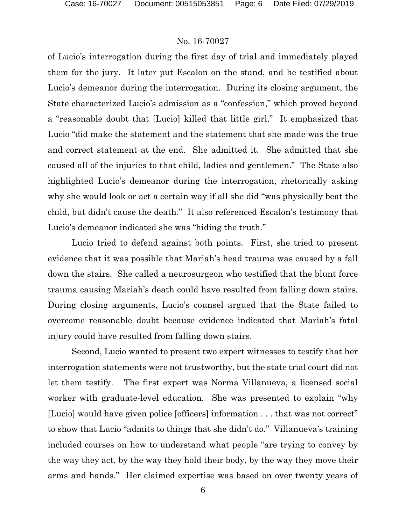of Lucio's interrogation during the first day of trial and immediately played them for the jury. It later put Escalon on the stand, and he testified about Lucio's demeanor during the interrogation. During its closing argument, the State characterized Lucio's admission as a "confession," which proved beyond a "reasonable doubt that [Lucio] killed that little girl." It emphasized that Lucio "did make the statement and the statement that she made was the true and correct statement at the end. She admitted it. She admitted that she caused all of the injuries to that child, ladies and gentlemen." The State also highlighted Lucio's demeanor during the interrogation, rhetorically asking why she would look or act a certain way if all she did "was physically beat the child, but didn't cause the death." It also referenced Escalon's testimony that Lucio's demeanor indicated she was "hiding the truth."

Lucio tried to defend against both points. First, she tried to present evidence that it was possible that Mariah's head trauma was caused by a fall down the stairs. She called a neurosurgeon who testified that the blunt force trauma causing Mariah's death could have resulted from falling down stairs. During closing arguments, Lucio's counsel argued that the State failed to overcome reasonable doubt because evidence indicated that Mariah's fatal injury could have resulted from falling down stairs.

Second, Lucio wanted to present two expert witnesses to testify that her interrogation statements were not trustworthy, but the state trial court did not let them testify. The first expert was Norma Villanueva, a licensed social worker with graduate-level education. She was presented to explain "why [Lucio] would have given police [officers] information . . . that was not correct" to show that Lucio "admits to things that she didn't do." Villanueva's training included courses on how to understand what people "are trying to convey by the way they act, by the way they hold their body, by the way they move their arms and hands." Her claimed expertise was based on over twenty years of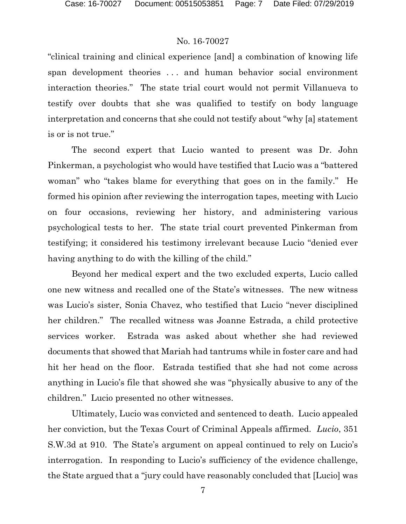"clinical training and clinical experience [and] a combination of knowing life span development theories . . . and human behavior social environment interaction theories." The state trial court would not permit Villanueva to testify over doubts that she was qualified to testify on body language interpretation and concerns that she could not testify about "why [a] statement is or is not true."

The second expert that Lucio wanted to present was Dr. John Pinkerman, a psychologist who would have testified that Lucio was a "battered woman" who "takes blame for everything that goes on in the family." He formed his opinion after reviewing the interrogation tapes, meeting with Lucio on four occasions, reviewing her history, and administering various psychological tests to her. The state trial court prevented Pinkerman from testifying; it considered his testimony irrelevant because Lucio "denied ever having anything to do with the killing of the child."

Beyond her medical expert and the two excluded experts, Lucio called one new witness and recalled one of the State's witnesses. The new witness was Lucio's sister, Sonia Chavez, who testified that Lucio "never disciplined her children." The recalled witness was Joanne Estrada, a child protective services worker. Estrada was asked about whether she had reviewed documents that showed that Mariah had tantrums while in foster care and had hit her head on the floor. Estrada testified that she had not come across anything in Lucio's file that showed she was "physically abusive to any of the children." Lucio presented no other witnesses.

Ultimately, Lucio was convicted and sentenced to death. Lucio appealed her conviction, but the Texas Court of Criminal Appeals affirmed. *Lucio*, 351 S.W.3d at 910. The State's argument on appeal continued to rely on Lucio's interrogation. In responding to Lucio's sufficiency of the evidence challenge, the State argued that a "jury could have reasonably concluded that [Lucio] was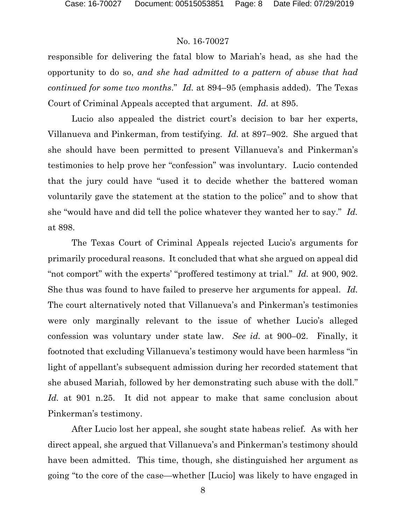responsible for delivering the fatal blow to Mariah's head, as she had the opportunity to do so, *and she had admitted to a pattern of abuse that had continued for some two months*." *Id.* at 894–95 (emphasis added). The Texas Court of Criminal Appeals accepted that argument. *Id.* at 895.

Lucio also appealed the district court's decision to bar her experts, Villanueva and Pinkerman, from testifying. *Id.* at 897–902. She argued that she should have been permitted to present Villanueva's and Pinkerman's testimonies to help prove her "confession" was involuntary. Lucio contended that the jury could have "used it to decide whether the battered woman voluntarily gave the statement at the station to the police" and to show that she "would have and did tell the police whatever they wanted her to say." *Id.* at 898.

The Texas Court of Criminal Appeals rejected Lucio's arguments for primarily procedural reasons. It concluded that what she argued on appeal did "not comport" with the experts' "proffered testimony at trial." *Id.* at 900, 902. She thus was found to have failed to preserve her arguments for appeal. *Id.* The court alternatively noted that Villanueva's and Pinkerman's testimonies were only marginally relevant to the issue of whether Lucio's alleged confession was voluntary under state law. *See id.* at 900–02. Finally, it footnoted that excluding Villanueva's testimony would have been harmless "in light of appellant's subsequent admission during her recorded statement that she abused Mariah, followed by her demonstrating such abuse with the doll." *Id.* at 901 n.25. It did not appear to make that same conclusion about Pinkerman's testimony.

After Lucio lost her appeal, she sought state habeas relief. As with her direct appeal, she argued that Villanueva's and Pinkerman's testimony should have been admitted. This time, though, she distinguished her argument as going "to the core of the case—whether [Lucio] was likely to have engaged in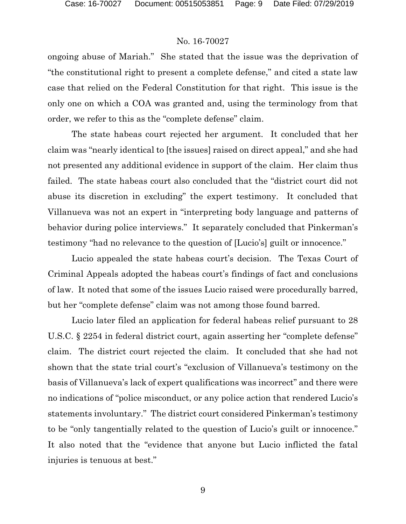ongoing abuse of Mariah." She stated that the issue was the deprivation of "the constitutional right to present a complete defense," and cited a state law case that relied on the Federal Constitution for that right. This issue is the only one on which a COA was granted and, using the terminology from that order, we refer to this as the "complete defense" claim.

The state habeas court rejected her argument. It concluded that her claim was "nearly identical to [the issues] raised on direct appeal," and she had not presented any additional evidence in support of the claim. Her claim thus failed. The state habeas court also concluded that the "district court did not abuse its discretion in excluding" the expert testimony. It concluded that Villanueva was not an expert in "interpreting body language and patterns of behavior during police interviews." It separately concluded that Pinkerman's testimony "had no relevance to the question of [Lucio's] guilt or innocence."

Lucio appealed the state habeas court's decision. The Texas Court of Criminal Appeals adopted the habeas court's findings of fact and conclusions of law. It noted that some of the issues Lucio raised were procedurally barred, but her "complete defense" claim was not among those found barred.

Lucio later filed an application for federal habeas relief pursuant to 28 U.S.C. § 2254 in federal district court, again asserting her "complete defense" claim. The district court rejected the claim. It concluded that she had not shown that the state trial court's "exclusion of Villanueva's testimony on the basis of Villanueva's lack of expert qualifications was incorrect" and there were no indications of "police misconduct, or any police action that rendered Lucio's statements involuntary." The district court considered Pinkerman's testimony to be "only tangentially related to the question of Lucio's guilt or innocence." It also noted that the "evidence that anyone but Lucio inflicted the fatal injuries is tenuous at best."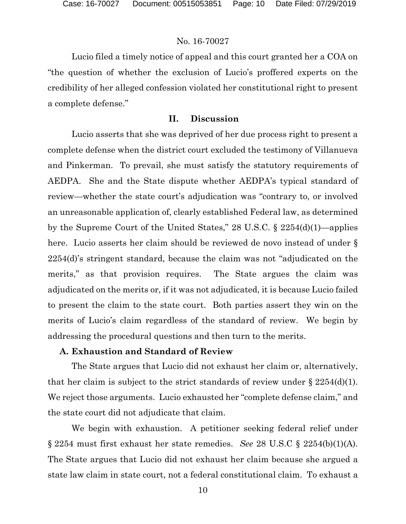Lucio filed a timely notice of appeal and this court granted her a COA on "the question of whether the exclusion of Lucio's proffered experts on the credibility of her alleged confession violated her constitutional right to present a complete defense."

### **II. Discussion**

Lucio asserts that she was deprived of her due process right to present a complete defense when the district court excluded the testimony of Villanueva and Pinkerman. To prevail, she must satisfy the statutory requirements of AEDPA. She and the State dispute whether AEDPA's typical standard of review—whether the state court's adjudication was "contrary to, or involved an unreasonable application of, clearly established Federal law, as determined by the Supreme Court of the United States," 28 U.S.C. § 2254(d)(1)—applies here. Lucio asserts her claim should be reviewed de novo instead of under  $\S$ 2254(d)'s stringent standard, because the claim was not "adjudicated on the merits," as that provision requires. The State argues the claim was adjudicated on the merits or, if it was not adjudicated, it is because Lucio failed to present the claim to the state court. Both parties assert they win on the merits of Lucio's claim regardless of the standard of review. We begin by addressing the procedural questions and then turn to the merits.

### **A. Exhaustion and Standard of Review**

The State argues that Lucio did not exhaust her claim or, alternatively, that her claim is subject to the strict standards of review under  $\S 2254(d)(1)$ . We reject those arguments. Lucio exhausted her "complete defense claim," and the state court did not adjudicate that claim.

We begin with exhaustion. A petitioner seeking federal relief under § 2254 must first exhaust her state remedies. *See* 28 U.S.C § 2254(b)(1)(A). The State argues that Lucio did not exhaust her claim because she argued a state law claim in state court, not a federal constitutional claim. To exhaust a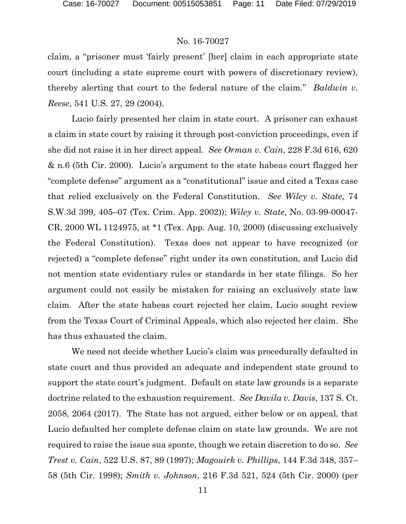claim, a "prisoner must 'fairly present' [her] claim in each appropriate state court (including a state supreme court with powers of discretionary review), thereby alerting that court to the federal nature of the claim." *Baldwin v. Reese*, 541 U.S. 27, 29 (2004).

Lucio fairly presented her claim in state court. A prisoner can exhaust a claim in state court by raising it through post-conviction proceedings, even if she did not raise it in her direct appeal. *See Orman v. Cain*, 228 F.3d 616, 620 & n.6 (5th Cir. 2000). Lucio's argument to the state habeas court flagged her "complete defense" argument as a "constitutional" issue and cited a Texas case that relied exclusively on the Federal Constitution. *See Wiley v. State*, 74 S.W.3d 399, 405–07 (Tex. Crim. App. 2002)); *Wiley v. State*, No. 03-99-00047- CR, 2000 WL 1124975, at \*1 (Tex. App. Aug. 10, 2000) (discussing exclusively the Federal Constitution). Texas does not appear to have recognized (or rejected) a "complete defense" right under its own constitution, and Lucio did not mention state evidentiary rules or standards in her state filings. So her argument could not easily be mistaken for raising an exclusively state law claim. After the state habeas court rejected her claim, Lucio sought review from the Texas Court of Criminal Appeals, which also rejected her claim. She has thus exhausted the claim.

We need not decide whether Lucio's claim was procedurally defaulted in state court and thus provided an adequate and independent state ground to support the state court's judgment. Default on state law grounds is a separate doctrine related to the exhaustion requirement. *See Davila v. Davis*, 137 S. Ct. 2058, 2064 (2017). The State has not argued, either below or on appeal, that Lucio defaulted her complete defense claim on state law grounds. We are not required to raise the issue sua sponte, though we retain discretion to do so. *See Trest v. Cain*, 522 U.S. 87, 89 (1997); *Magouirk v. Phillips*, 144 F.3d 348, 357– 58 (5th Cir. 1998); *Smith v. Johnson*, 216 F.3d 521, 524 (5th Cir. 2000) (per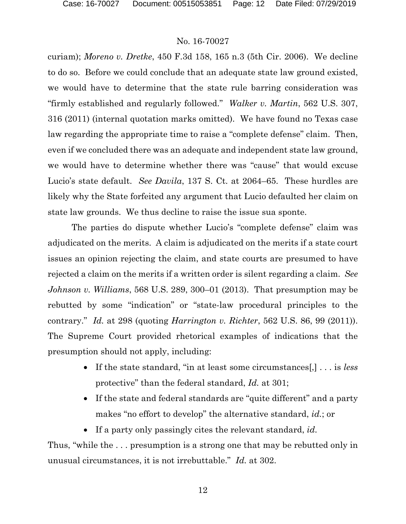curiam); *Moreno v. Dretke*, 450 F.3d 158, 165 n.3 (5th Cir. 2006). We decline to do so. Before we could conclude that an adequate state law ground existed, we would have to determine that the state rule barring consideration was "firmly established and regularly followed." *Walker v. Martin*, 562 U.S. 307, 316 (2011) (internal quotation marks omitted). We have found no Texas case law regarding the appropriate time to raise a "complete defense" claim. Then, even if we concluded there was an adequate and independent state law ground, we would have to determine whether there was "cause" that would excuse Lucio's state default. *See Davila*, 137 S. Ct. at 2064–65. These hurdles are likely why the State forfeited any argument that Lucio defaulted her claim on state law grounds. We thus decline to raise the issue sua sponte.

The parties do dispute whether Lucio's "complete defense" claim was adjudicated on the merits. A claim is adjudicated on the merits if a state court issues an opinion rejecting the claim, and state courts are presumed to have rejected a claim on the merits if a written order is silent regarding a claim. *See Johnson v. Williams*, 568 U.S. 289, 300–01 (2013). That presumption may be rebutted by some "indication" or "state-law procedural principles to the contrary." *Id.* at 298 (quoting *Harrington v. Richter*, 562 U.S. 86, 99 (2011)). The Supreme Court provided rhetorical examples of indications that the presumption should not apply, including:

- If the state standard, "in at least some circumstances[,] . . . is *less* protective" than the federal standard, *Id.* at 301;
- If the state and federal standards are "quite different" and a party makes "no effort to develop" the alternative standard, *id.*; or
- If a party only passingly cites the relevant standard, *id.*

Thus, "while the . . . presumption is a strong one that may be rebutted only in unusual circumstances, it is not irrebuttable." *Id.* at 302.

12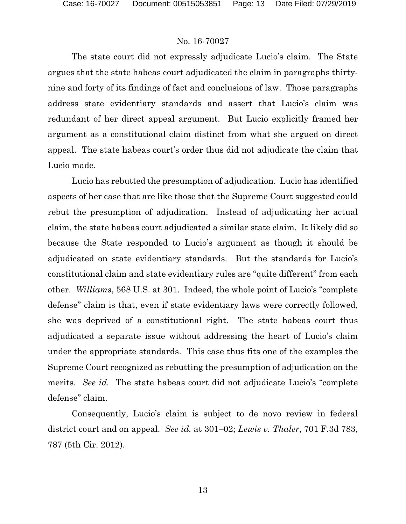The state court did not expressly adjudicate Lucio's claim. The State argues that the state habeas court adjudicated the claim in paragraphs thirtynine and forty of its findings of fact and conclusions of law. Those paragraphs address state evidentiary standards and assert that Lucio's claim was redundant of her direct appeal argument. But Lucio explicitly framed her argument as a constitutional claim distinct from what she argued on direct appeal. The state habeas court's order thus did not adjudicate the claim that Lucio made.

Lucio has rebutted the presumption of adjudication. Lucio has identified aspects of her case that are like those that the Supreme Court suggested could rebut the presumption of adjudication. Instead of adjudicating her actual claim, the state habeas court adjudicated a similar state claim. It likely did so because the State responded to Lucio's argument as though it should be adjudicated on state evidentiary standards. But the standards for Lucio's constitutional claim and state evidentiary rules are "quite different" from each other. *Williams*, 568 U.S. at 301. Indeed, the whole point of Lucio's "complete defense" claim is that, even if state evidentiary laws were correctly followed, she was deprived of a constitutional right. The state habeas court thus adjudicated a separate issue without addressing the heart of Lucio's claim under the appropriate standards. This case thus fits one of the examples the Supreme Court recognized as rebutting the presumption of adjudication on the merits. *See id.* The state habeas court did not adjudicate Lucio's "complete defense" claim.

Consequently, Lucio's claim is subject to de novo review in federal district court and on appeal. *See id.* at 301–02; *Lewis v. Thaler*, 701 F.3d 783, 787 (5th Cir. 2012).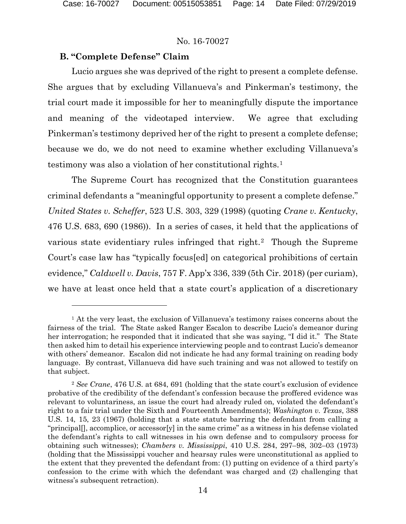$\overline{a}$ 

#### No. 16-70027

#### **B. "Complete Defense" Claim**

Lucio argues she was deprived of the right to present a complete defense. She argues that by excluding Villanueva's and Pinkerman's testimony, the trial court made it impossible for her to meaningfully dispute the importance and meaning of the videotaped interview. We agree that excluding Pinkerman's testimony deprived her of the right to present a complete defense; because we do, we do not need to examine whether excluding Villanueva's testimony was also a violation of her constitutional rights.[1](#page-13-0) 

The Supreme Court has recognized that the Constitution guarantees criminal defendants a "meaningful opportunity to present a complete defense." *United States v. Scheffer*, 523 U.S. 303, 329 (1998) (quoting *Crane v. Kentucky*, 476 U.S. 683, 690 (1986)). In a series of cases, it held that the applications of various state evidentiary rules infringed that right.<sup>[2](#page-13-1)</sup> Though the Supreme Court's case law has "typically focus[ed] on categorical prohibitions of certain evidence," *Caldwell v. Davis*, 757 F. App'x 336, 339 (5th Cir. 2018) (per curiam), we have at least once held that a state court's application of a discretionary

<span id="page-13-0"></span><sup>&</sup>lt;sup>1</sup> At the very least, the exclusion of Villanueva's testimony raises concerns about the fairness of the trial. The State asked Ranger Escalon to describe Lucio's demeanor during her interrogation; he responded that it indicated that she was saying, "I did it." The State then asked him to detail his experience interviewing people and to contrast Lucio's demeanor with others' demeanor. Escalon did not indicate he had any formal training on reading body language. By contrast, Villanueva did have such training and was not allowed to testify on that subject.

<span id="page-13-1"></span><sup>2</sup> *See Crane*, 476 U.S. at 684, 691 (holding that the state court's exclusion of evidence probative of the credibility of the defendant's confession because the proffered evidence was relevant to voluntariness, an issue the court had already ruled on, violated the defendant's right to a fair trial under the Sixth and Fourteenth Amendments); *Washington v. Texas*, 388 U.S. 14, 15, 23 (1967) (holding that a state statute barring the defendant from calling a "principal[], accomplice, or accessor[y] in the same crime" as a witness in his defense violated the defendant's rights to call witnesses in his own defense and to compulsory process for obtaining such witnesses); *Chambers v. Mississippi*, 410 U.S. 284, 297–98, 302–03 (1973) (holding that the Mississippi voucher and hearsay rules were unconstitutional as applied to the extent that they prevented the defendant from: (1) putting on evidence of a third party's confession to the crime with which the defendant was charged and (2) challenging that witness's subsequent retraction).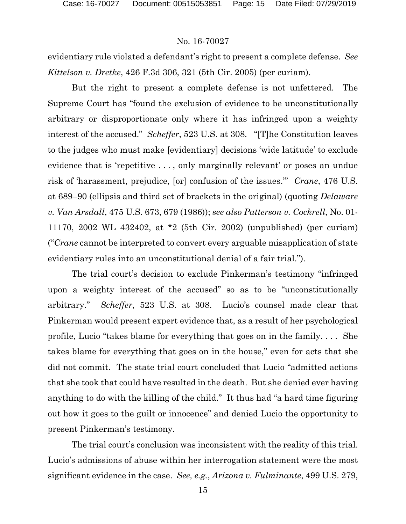evidentiary rule violated a defendant's right to present a complete defense. *See Kittelson v. Dretke*, 426 F.3d 306, 321 (5th Cir. 2005) (per curiam).

But the right to present a complete defense is not unfettered. The Supreme Court has "found the exclusion of evidence to be unconstitutionally arbitrary or disproportionate only where it has infringed upon a weighty interest of the accused." *Scheffer*, 523 U.S. at 308. "[T]he Constitution leaves to the judges who must make [evidentiary] decisions 'wide latitude' to exclude evidence that is 'repetitive ..., only marginally relevant' or poses an undue risk of 'harassment, prejudice, [or] confusion of the issues.'" *Crane*, 476 U.S. at 689–90 (ellipsis and third set of brackets in the original) (quoting *Delaware v. Van Arsdall*, 475 U.S. 673, 679 (1986)); *see also Patterson v. Cockrell*, No. 01- 11170, 2002 WL 432402, at \*2 (5th Cir. 2002) (unpublished) (per curiam) ("*Crane* cannot be interpreted to convert every arguable misapplication of state evidentiary rules into an unconstitutional denial of a fair trial.").

The trial court's decision to exclude Pinkerman's testimony "infringed upon a weighty interest of the accused" so as to be "unconstitutionally arbitrary." *Scheffer*, 523 U.S. at 308. Lucio's counsel made clear that Pinkerman would present expert evidence that, as a result of her psychological profile, Lucio "takes blame for everything that goes on in the family. . . . She takes blame for everything that goes on in the house," even for acts that she did not commit. The state trial court concluded that Lucio "admitted actions that she took that could have resulted in the death. But she denied ever having anything to do with the killing of the child." It thus had "a hard time figuring out how it goes to the guilt or innocence" and denied Lucio the opportunity to present Pinkerman's testimony.

The trial court's conclusion was inconsistent with the reality of this trial. Lucio's admissions of abuse within her interrogation statement were the most significant evidence in the case. *See, e.g.*, *Arizona v. Fulminante*, 499 U.S. 279,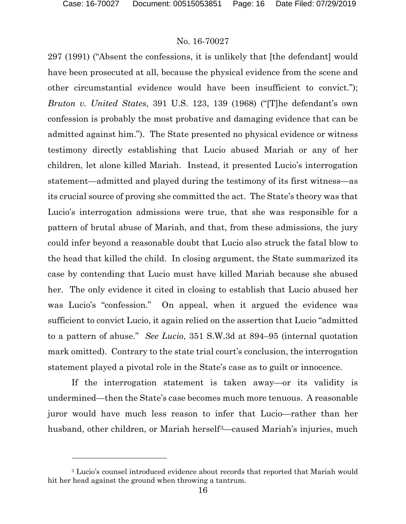l

### No. 16-70027

297 (1991) ("Absent the confessions, it is unlikely that [the defendant] would have been prosecuted at all, because the physical evidence from the scene and other circumstantial evidence would have been insufficient to convict."); *Bruton v. United States*, 391 U.S. 123, 139 (1968) ("[T]he defendant's own confession is probably the most probative and damaging evidence that can be admitted against him."). The State presented no physical evidence or witness testimony directly establishing that Lucio abused Mariah or any of her children, let alone killed Mariah. Instead, it presented Lucio's interrogation statement—admitted and played during the testimony of its first witness—as its crucial source of proving she committed the act. The State's theory was that Lucio's interrogation admissions were true, that she was responsible for a pattern of brutal abuse of Mariah, and that, from these admissions, the jury could infer beyond a reasonable doubt that Lucio also struck the fatal blow to the head that killed the child. In closing argument, the State summarized its case by contending that Lucio must have killed Mariah because she abused her. The only evidence it cited in closing to establish that Lucio abused her was Lucio's "confession." On appeal, when it argued the evidence was sufficient to convict Lucio, it again relied on the assertion that Lucio "admitted to a pattern of abuse." *See Lucio*, 351 S.W.3d at 894–95 (internal quotation mark omitted). Contrary to the state trial court's conclusion, the interrogation statement played a pivotal role in the State's case as to guilt or innocence.

If the interrogation statement is taken away—or its validity is undermined—then the State's case becomes much more tenuous. A reasonable juror would have much less reason to infer that Lucio—rather than her husband, other children, or Mariah herself<sup>3</sup>—caused Mariah's injuries, much

<span id="page-15-0"></span><sup>&</sup>lt;sup>3</sup> Lucio's counsel introduced evidence about records that reported that Mariah would hit her head against the ground when throwing a tantrum.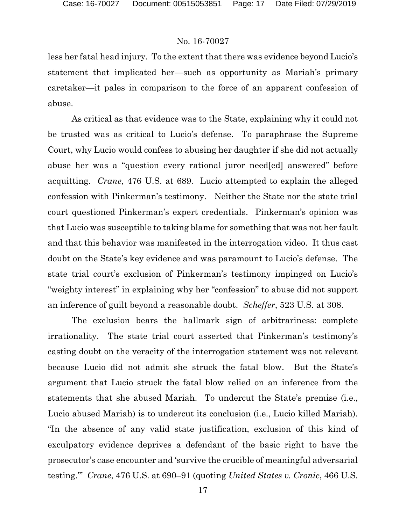less her fatal head injury. To the extent that there was evidence beyond Lucio's statement that implicated her—such as opportunity as Mariah's primary caretaker—it pales in comparison to the force of an apparent confession of abuse.

As critical as that evidence was to the State, explaining why it could not be trusted was as critical to Lucio's defense. To paraphrase the Supreme Court, why Lucio would confess to abusing her daughter if she did not actually abuse her was a "question every rational juror need[ed] answered" before acquitting. *Crane*, 476 U.S. at 689. Lucio attempted to explain the alleged confession with Pinkerman's testimony. Neither the State nor the state trial court questioned Pinkerman's expert credentials. Pinkerman's opinion was that Lucio was susceptible to taking blame for something that was not her fault and that this behavior was manifested in the interrogation video. It thus cast doubt on the State's key evidence and was paramount to Lucio's defense. The state trial court's exclusion of Pinkerman's testimony impinged on Lucio's "weighty interest" in explaining why her "confession" to abuse did not support an inference of guilt beyond a reasonable doubt. *Scheffer*, 523 U.S. at 308.

The exclusion bears the hallmark sign of arbitrariness: complete irrationality. The state trial court asserted that Pinkerman's testimony's casting doubt on the veracity of the interrogation statement was not relevant because Lucio did not admit she struck the fatal blow. But the State's argument that Lucio struck the fatal blow relied on an inference from the statements that she abused Mariah. To undercut the State's premise (i.e., Lucio abused Mariah) is to undercut its conclusion (i.e., Lucio killed Mariah). "In the absence of any valid state justification, exclusion of this kind of exculpatory evidence deprives a defendant of the basic right to have the prosecutor's case encounter and 'survive the crucible of meaningful adversarial testing.'" *Crane*, 476 U.S. at 690–91 (quoting *United States v. Cronic*, 466 U.S.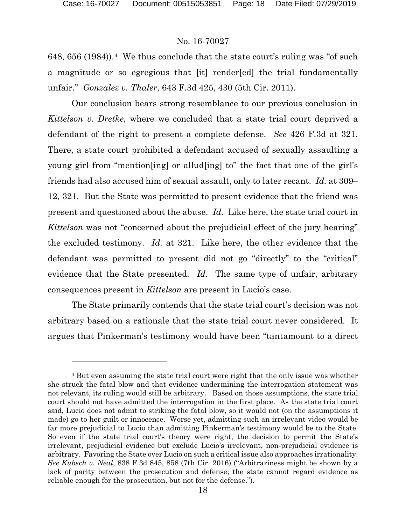l

#### No. 16-70027

6[4](#page-17-0)8, 656 (1984)).<sup>4</sup> We thus conclude that the state court's ruling was "of such a magnitude or so egregious that [it] render[ed] the trial fundamentally unfair." *Gonzalez v. Thaler*, 643 F.3d 425, 430 (5th Cir. 2011).

Our conclusion bears strong resemblance to our previous conclusion in *Kittelson v. Dretke*, where we concluded that a state trial court deprived a defendant of the right to present a complete defense. *See* 426 F.3d at 321. There, a state court prohibited a defendant accused of sexually assaulting a young girl from "mention[ing] or allud[ing] to" the fact that one of the girl's friends had also accused him of sexual assault, only to later recant. *Id.* at 309– 12, 321. But the State was permitted to present evidence that the friend was present and questioned about the abuse. *Id.* Like here, the state trial court in *Kittelson* was not "concerned about the prejudicial effect of the jury hearing" the excluded testimony. *Id.* at 321. Like here, the other evidence that the defendant was permitted to present did not go "directly" to the "critical" evidence that the State presented. *Id.* The same type of unfair, arbitrary consequences present in *Kittelson* are present in Lucio's case.

The State primarily contends that the state trial court's decision was not arbitrary based on a rationale that the state trial court never considered. It argues that Pinkerman's testimony would have been "tantamount to a direct

<span id="page-17-0"></span><sup>4</sup> But even assuming the state trial court were right that the only issue was whether she struck the fatal blow and that evidence undermining the interrogation statement was not relevant, its ruling would still be arbitrary. Based on those assumptions, the state trial court should not have admitted the interrogation in the first place. As the state trial court said, Lucio does not admit to striking the fatal blow, so it would not (on the assumptions it made) go to her guilt or innocence. Worse yet, admitting such an irrelevant video would be far more prejudicial to Lucio than admitting Pinkerman's testimony would be to the State. So even if the state trial court's theory were right, the decision to permit the State's irrelevant, prejudicial evidence but exclude Lucio's irrelevant, non-prejudicial evidence is arbitrary. Favoring the State over Lucio on such a critical issue also approaches irrationality. *See Kubsch v. Neal*, 838 F.3d 845, 858 (7th Cir. 2016) ("Arbitrariness might be shown by a lack of parity between the prosecution and defense; the state cannot regard evidence as reliable enough for the prosecution, but not for the defense.").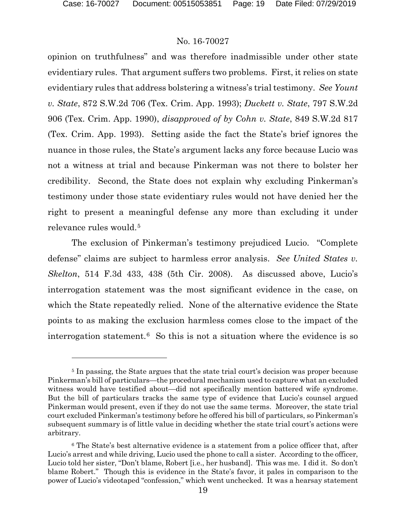l

#### No. 16-70027

opinion on truthfulness" and was therefore inadmissible under other state evidentiary rules. That argument suffers two problems. First, it relies on state evidentiary rules that address bolstering a witness's trial testimony. *See Yount v. State*, 872 S.W.2d 706 (Tex. Crim. App. 1993); *Duckett v. State*, 797 S.W.2d 906 (Tex. Crim. App. 1990), *disapproved of by Cohn v. State*, 849 S.W.2d 817 (Tex. Crim. App. 1993). Setting aside the fact the State's brief ignores the nuance in those rules, the State's argument lacks any force because Lucio was not a witness at trial and because Pinkerman was not there to bolster her credibility. Second, the State does not explain why excluding Pinkerman's testimony under those state evidentiary rules would not have denied her the right to present a meaningful defense any more than excluding it under relevance rules would.[5](#page-18-0)

The exclusion of Pinkerman's testimony prejudiced Lucio. "Complete defense" claims are subject to harmless error analysis. *See United States v. Skelton*, 514 F.3d 433, 438 (5th Cir. 2008). As discussed above, Lucio's interrogation statement was the most significant evidence in the case, on which the State repeatedly relied. None of the alternative evidence the State points to as making the exclusion harmless comes close to the impact of the interrogation statement.[6](#page-18-1) So this is not a situation where the evidence is so

<span id="page-18-0"></span><sup>&</sup>lt;sup>5</sup> In passing, the State argues that the state trial court's decision was proper because Pinkerman's bill of particulars—the procedural mechanism used to capture what an excluded witness would have testified about—did not specifically mention battered wife syndrome. But the bill of particulars tracks the same type of evidence that Lucio's counsel argued Pinkerman would present, even if they do not use the same terms. Moreover, the state trial court excluded Pinkerman's testimony before he offered his bill of particulars, so Pinkerman's subsequent summary is of little value in deciding whether the state trial court's actions were arbitrary.

<span id="page-18-1"></span><sup>6</sup> The State's best alternative evidence is a statement from a police officer that, after Lucio's arrest and while driving, Lucio used the phone to call a sister. According to the officer, Lucio told her sister, "Don't blame, Robert [i.e., her husband]. This was me. I did it. So don't blame Robert." Though this is evidence in the State's favor, it pales in comparison to the power of Lucio's videotaped "confession," which went unchecked. It was a hearsay statement